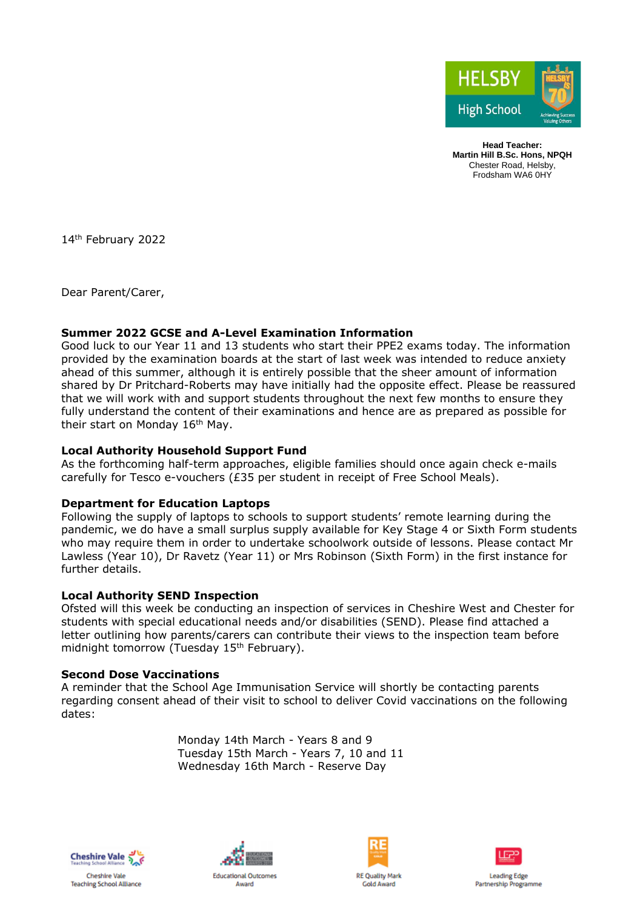

**Head Teacher: Martin Hill B.Sc. Hons, NPQH** Chester Road, Helsby, Frodsham WA6 0HY

14<sup>th</sup> February 2022

Dear Parent/Carer,

# **Summer 2022 GCSE and A-Level Examination Information**

Good luck to our Year 11 and 13 students who start their PPE2 exams today. The information provided by the examination boards at the start of last week was intended to reduce anxiety ahead of this summer, although it is entirely possible that the sheer amount of information shared by Dr Pritchard-Roberts may have initially had the opposite effect. Please be reassured that we will work with and support students throughout the next few months to ensure they fully understand the content of their examinations and hence are as prepared as possible for their start on Monday 16<sup>th</sup> May.

## **Local Authority Household Support Fund**

As the forthcoming half-term approaches, eligible families should once again check e-mails carefully for Tesco e-vouchers (£35 per student in receipt of Free School Meals).

#### **Department for Education Laptops**

Following the supply of laptops to schools to support students' remote learning during the pandemic, we do have a small surplus supply available for Key Stage 4 or Sixth Form students who may require them in order to undertake schoolwork outside of lessons. Please contact Mr Lawless (Year 10), Dr Ravetz (Year 11) or Mrs Robinson (Sixth Form) in the first instance for further details.

#### **Local Authority SEND Inspection**

Ofsted will this week be conducting an inspection of services in Cheshire West and Chester for students with special educational needs and/or disabilities (SEND). Please find attached a letter outlining how parents/carers can contribute their views to the inspection team before midnight tomorrow (Tuesday 15<sup>th</sup> February).

#### **Second Dose Vaccinations**

A reminder that the School Age Immunisation Service will shortly be contacting parents regarding consent ahead of their visit to school to deliver Covid vaccinations on the following dates:

> Monday 14th March - Years 8 and 9 Tuesday 15th March - Years 7, 10 and 11 Wednesday 16th March - Reserve Day





Award





**Leading Edge Partnership Programme** 

Chachira Vale **Teaching School Alliance**